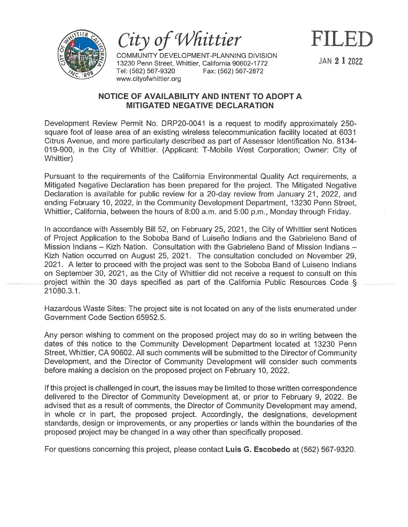

City of Whittier

COMMUNITY DEVELOPMENT-PLANNING DIVISION 13230 Penn Street, Whittier, California 90602-1772 JAN  $21$  2022 Tel: (562) 567-9320 Fax: (562) 567-2872 www.cityofwhittier.org

## NOTICE OF AVAILABILITY AND INTENT TO ADOPT A MITIGATED NEGATIVE DECLARATION

Development Review Permit No. DRP2O-0041 is <sup>a</sup> reques<sup>t</sup> to modify approximately 250 square foot of lease area of an existing wireless telecommunication facility located at 6031 Citrus Avenue, and more particularly described as par<sup>t</sup> of Assessor Identification No. 81 34- 019-900, in the City of Whittier. (Applicant: T-Mobile West Corporation; Owner: City of Whittier)

Pursuant to the requirements of the California Environmental Quality Act requirements, <sup>a</sup> Mitigated Negative Declaration has been prepared for the project. The Mitigated Negative Declaration is available for public review for <sup>a</sup> 20-day review from January 21, 2022, and ending February 10, 2022, in the Community Development Department, 13230 Penn Street, Whittier, California, between the hours of 8:00 a.m. and 5:00 p.m., Monday through Friday.

In accordance with Assembly Bill 52, on February 25, 2021, the City of Whittier sent Notices of Project Application to the Soboba Band of Luiseño Indians and the Gabrieleno Band of Mission Indians — Kizh Nation. Consultation with the Gabrieleno Band of Mission Indians — Kizh Nation occurred on August 25, 2021. The consultation concluded on November 29, 2021. A letter to proceed with the project was sent to the Soboba Band of Luiseno Indians on September 30, 2021, as the City of Whittier did not receive <sup>a</sup> reques<sup>t</sup> to consult on this project within the <sup>30</sup> days specified as par<sup>t</sup> of the California Public Resources Code § 21080.3.1.

Hazardous Waste Sites: The project site is not located on any of the lists enumerated under Government Code Section 65952.5.

Any person wishing to comment on the proposed project may do so in writing between the dates of this notice to the Community Development Department located at 13230 Penn Street, Whittier, CA 90602. All such comments will be submitted to the Director of Community Development, and the Director of Community Development will consider such comments before making <sup>a</sup> decision on the proposed project on February 10, 2022.

If this project is challenged in court, the issues may be limited to those written correspondence delivered to the Director of Community Development at, or prior to February 9, 2022. Be advised that as <sup>a</sup> result of comments, the Director of Community Development may amend, in whole or in part, the proposed project. Accordingly, the designations, development standards, design or improvements, or any properties or lands within the boundaries of the proposed project may be changed in <sup>a</sup> way other than specifically proposed.

For questions concerning this project, please contact Luis G. Escobedo at (562) 567-9320.